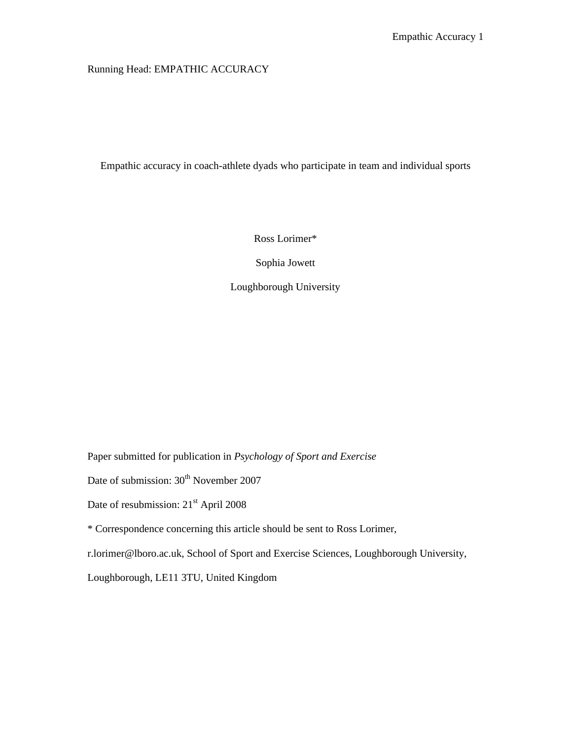Running Head: EMPATHIC ACCURACY

Empathic accuracy in coach-athlete dyads who participate in team and individual sports

Ross Lorimer\*

Sophia Jowett

Loughborough University

Paper submitted for publication in *Psychology of Sport and Exercise*

Date of submission:  $30<sup>th</sup>$  November 2007

Date of resubmission: 21<sup>st</sup> April 2008

\* Correspondence concerning this article should be sent to Ross Lorimer,

r.lorimer@lboro.ac.uk, School of Sport and Exercise Sciences, Loughborough University,

Loughborough, LE11 3TU, United Kingdom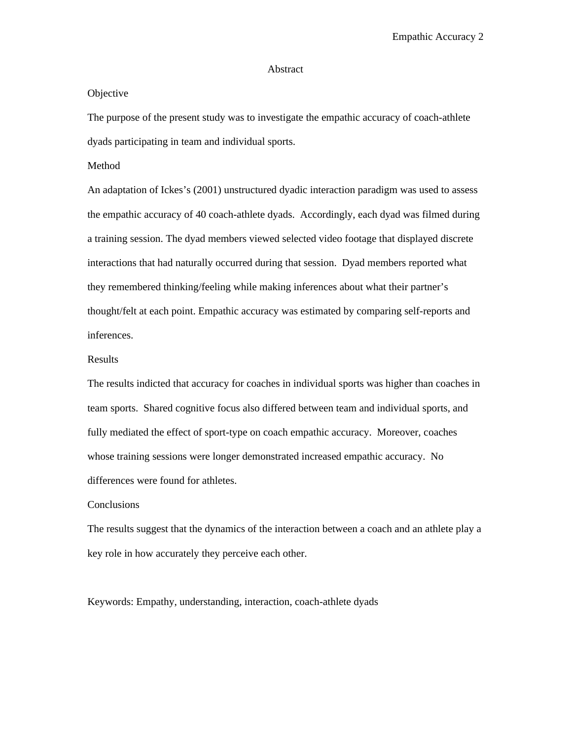#### Abstract

#### **Objective**

The purpose of the present study was to investigate the empathic accuracy of coach-athlete dyads participating in team and individual sports.

Method

An adaptation of Ickes's (2001) unstructured dyadic interaction paradigm was used to assess the empathic accuracy of 40 coach-athlete dyads. Accordingly, each dyad was filmed during a training session. The dyad members viewed selected video footage that displayed discrete interactions that had naturally occurred during that session. Dyad members reported what they remembered thinking/feeling while making inferences about what their partner's thought/felt at each point. Empathic accuracy was estimated by comparing self-reports and inferences.

#### Results

The results indicted that accuracy for coaches in individual sports was higher than coaches in team sports. Shared cognitive focus also differed between team and individual sports, and fully mediated the effect of sport-type on coach empathic accuracy. Moreover, coaches whose training sessions were longer demonstrated increased empathic accuracy. No differences were found for athletes.

#### Conclusions

The results suggest that the dynamics of the interaction between a coach and an athlete play a key role in how accurately they perceive each other.

Keywords: Empathy, understanding, interaction, coach-athlete dyads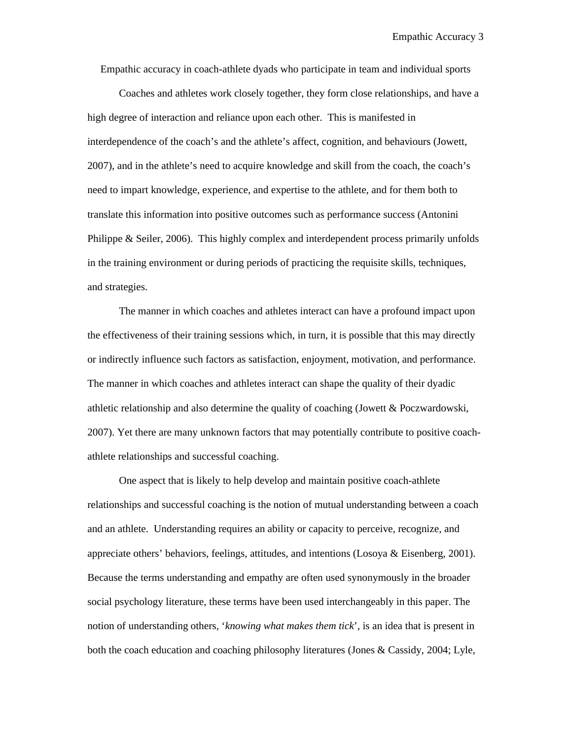Empathic accuracy in coach-athlete dyads who participate in team and individual sports

Coaches and athletes work closely together, they form close relationships, and have a high degree of interaction and reliance upon each other. This is manifested in interdependence of the coach's and the athlete's affect, cognition, and behaviours (Jowett, 2007), and in the athlete's need to acquire knowledge and skill from the coach, the coach's need to impart knowledge, experience, and expertise to the athlete, and for them both to translate this information into positive outcomes such as performance success (Antonini Philippe & Seiler, 2006). This highly complex and interdependent process primarily unfolds in the training environment or during periods of practicing the requisite skills, techniques, and strategies.

The manner in which coaches and athletes interact can have a profound impact upon the effectiveness of their training sessions which, in turn, it is possible that this may directly or indirectly influence such factors as satisfaction, enjoyment, motivation, and performance. The manner in which coaches and athletes interact can shape the quality of their dyadic athletic relationship and also determine the quality of coaching (Jowett & Poczwardowski, 2007). Yet there are many unknown factors that may potentially contribute to positive coachathlete relationships and successful coaching.

One aspect that is likely to help develop and maintain positive coach-athlete relationships and successful coaching is the notion of mutual understanding between a coach and an athlete. Understanding requires an ability or capacity to perceive, recognize, and appreciate others' behaviors, feelings, attitudes, and intentions (Losoya & Eisenberg, 2001). Because the terms understanding and empathy are often used synonymously in the broader social psychology literature, these terms have been used interchangeably in this paper. The notion of understanding others, '*knowing what makes them tick*', is an idea that is present in both the coach education and coaching philosophy literatures (Jones & Cassidy, 2004; Lyle,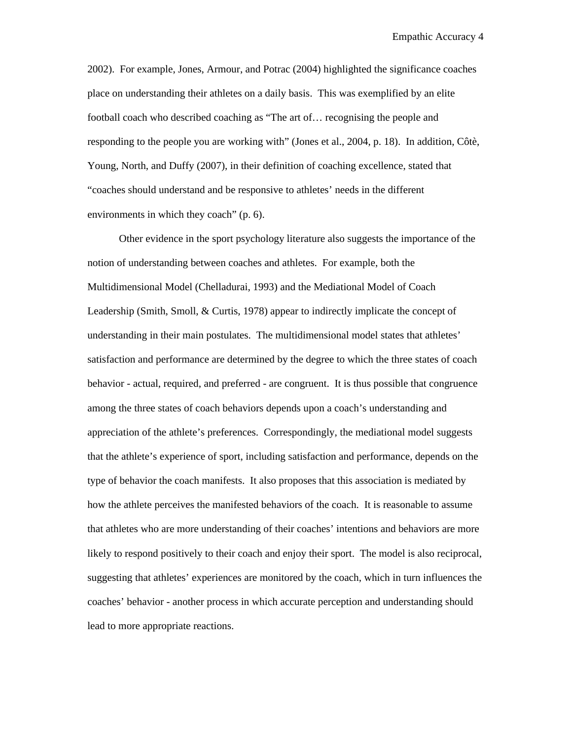2002). For example, Jones, Armour, and Potrac (2004) highlighted the significance coaches place on understanding their athletes on a daily basis. This was exemplified by an elite football coach who described coaching as "The art of… recognising the people and responding to the people you are working with" (Jones et al., 2004, p. 18). In addition, Côtè, Young, North, and Duffy (2007), in their definition of coaching excellence, stated that "coaches should understand and be responsive to athletes' needs in the different environments in which they coach" (p. 6).

Other evidence in the sport psychology literature also suggests the importance of the notion of understanding between coaches and athletes. For example, both the Multidimensional Model (Chelladurai, 1993) and the Mediational Model of Coach Leadership (Smith, Smoll, & Curtis, 1978) appear to indirectly implicate the concept of understanding in their main postulates. The multidimensional model states that athletes' satisfaction and performance are determined by the degree to which the three states of coach behavior - actual, required, and preferred - are congruent. It is thus possible that congruence among the three states of coach behaviors depends upon a coach's understanding and appreciation of the athlete's preferences. Correspondingly, the mediational model suggests that the athlete's experience of sport, including satisfaction and performance, depends on the type of behavior the coach manifests. It also proposes that this association is mediated by how the athlete perceives the manifested behaviors of the coach. It is reasonable to assume that athletes who are more understanding of their coaches' intentions and behaviors are more likely to respond positively to their coach and enjoy their sport. The model is also reciprocal, suggesting that athletes' experiences are monitored by the coach, which in turn influences the coaches' behavior - another process in which accurate perception and understanding should lead to more appropriate reactions.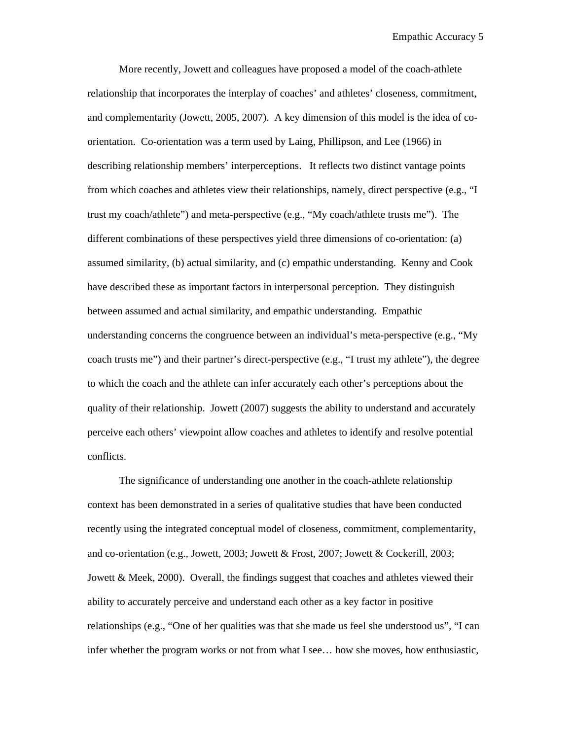More recently, Jowett and colleagues have proposed a model of the coach-athlete relationship that incorporates the interplay of coaches' and athletes' closeness, commitment, and complementarity (Jowett, 2005, 2007). A key dimension of this model is the idea of coorientation. Co-orientation was a term used by Laing, Phillipson, and Lee (1966) in describing relationship members' interperceptions. It reflects two distinct vantage points from which coaches and athletes view their relationships, namely, direct perspective (e.g., "I trust my coach/athlete") and meta-perspective (e.g., "My coach/athlete trusts me"). The different combinations of these perspectives yield three dimensions of co-orientation: (a) assumed similarity, (b) actual similarity, and (c) empathic understanding. Kenny and Cook have described these as important factors in interpersonal perception. They distinguish between assumed and actual similarity, and empathic understanding. Empathic understanding concerns the congruence between an individual's meta-perspective (e.g., "My coach trusts me") and their partner's direct-perspective (e.g., "I trust my athlete"), the degree to which the coach and the athlete can infer accurately each other's perceptions about the quality of their relationship. Jowett (2007) suggests the ability to understand and accurately perceive each others' viewpoint allow coaches and athletes to identify and resolve potential conflicts.

The significance of understanding one another in the coach-athlete relationship context has been demonstrated in a series of qualitative studies that have been conducted recently using the integrated conceptual model of closeness, commitment, complementarity, and co-orientation (e.g., Jowett, 2003; Jowett & Frost, 2007; Jowett & Cockerill, 2003; Jowett & Meek, 2000). Overall, the findings suggest that coaches and athletes viewed their ability to accurately perceive and understand each other as a key factor in positive relationships (e.g., "One of her qualities was that she made us feel she understood us", "I can infer whether the program works or not from what I see… how she moves, how enthusiastic,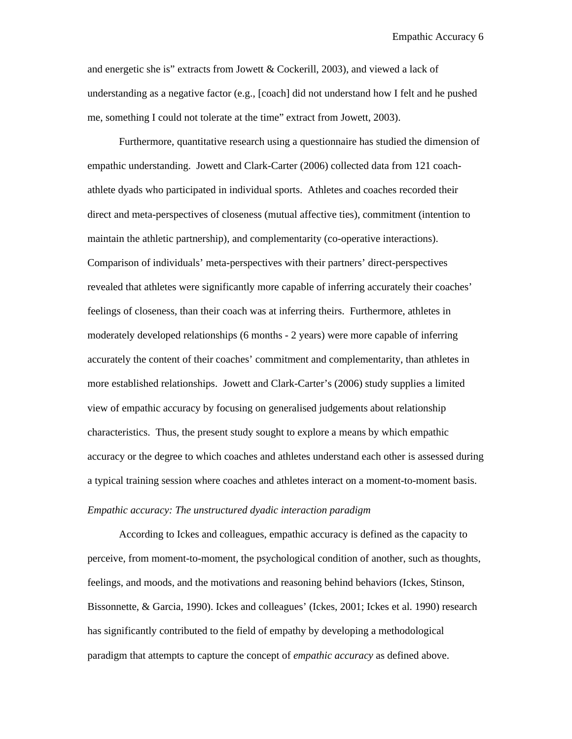and energetic she is" extracts from Jowett & Cockerill, 2003), and viewed a lack of understanding as a negative factor (e.g., [coach] did not understand how I felt and he pushed me, something I could not tolerate at the time" extract from Jowett, 2003).

Furthermore, quantitative research using a questionnaire has studied the dimension of empathic understanding. Jowett and Clark-Carter (2006) collected data from 121 coachathlete dyads who participated in individual sports. Athletes and coaches recorded their direct and meta-perspectives of closeness (mutual affective ties), commitment (intention to maintain the athletic partnership), and complementarity (co-operative interactions). Comparison of individuals' meta-perspectives with their partners' direct-perspectives revealed that athletes were significantly more capable of inferring accurately their coaches' feelings of closeness, than their coach was at inferring theirs. Furthermore, athletes in moderately developed relationships (6 months - 2 years) were more capable of inferring accurately the content of their coaches' commitment and complementarity, than athletes in more established relationships. Jowett and Clark-Carter's (2006) study supplies a limited view of empathic accuracy by focusing on generalised judgements about relationship characteristics. Thus, the present study sought to explore a means by which empathic accuracy or the degree to which coaches and athletes understand each other is assessed during a typical training session where coaches and athletes interact on a moment-to-moment basis.

### *Empathic accuracy: The unstructured dyadic interaction paradigm*

According to Ickes and colleagues, empathic accuracy is defined as the capacity to perceive, from moment-to-moment, the psychological condition of another, such as thoughts, feelings, and moods, and the motivations and reasoning behind behaviors (Ickes, Stinson, Bissonnette, & Garcia, 1990). Ickes and colleagues' (Ickes, 2001; Ickes et al. 1990) research has significantly contributed to the field of empathy by developing a methodological paradigm that attempts to capture the concept of *empathic accuracy* as defined above.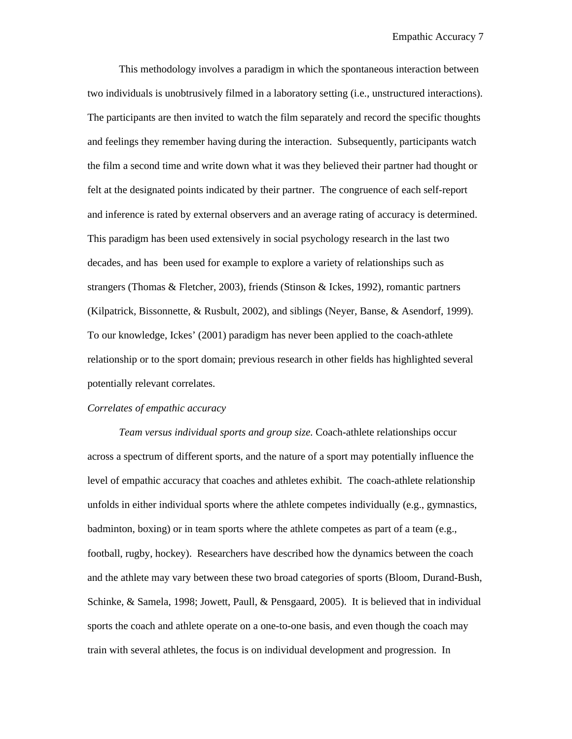This methodology involves a paradigm in which the spontaneous interaction between two individuals is unobtrusively filmed in a laboratory setting (i.e., unstructured interactions). The participants are then invited to watch the film separately and record the specific thoughts and feelings they remember having during the interaction. Subsequently, participants watch the film a second time and write down what it was they believed their partner had thought or felt at the designated points indicated by their partner. The congruence of each self-report and inference is rated by external observers and an average rating of accuracy is determined. This paradigm has been used extensively in social psychology research in the last two decades, and has been used for example to explore a variety of relationships such as strangers (Thomas & Fletcher, 2003), friends (Stinson & Ickes, 1992), romantic partners (Kilpatrick, Bissonnette, & Rusbult, 2002), and siblings (Neyer, Banse, & Asendorf, 1999). To our knowledge, Ickes' (2001) paradigm has never been applied to the coach-athlete relationship or to the sport domain; previous research in other fields has highlighted several potentially relevant correlates.

#### *Correlates of empathic accuracy*

*Team versus individual sports and group size.* Coach-athlete relationships occur across a spectrum of different sports, and the nature of a sport may potentially influence the level of empathic accuracy that coaches and athletes exhibit. The coach-athlete relationship unfolds in either individual sports where the athlete competes individually (e.g., gymnastics, badminton, boxing) or in team sports where the athlete competes as part of a team (e.g., football, rugby, hockey). Researchers have described how the dynamics between the coach and the athlete may vary between these two broad categories of sports (Bloom, Durand-Bush, Schinke, & Samela, 1998; Jowett, Paull, & Pensgaard, 2005). It is believed that in individual sports the coach and athlete operate on a one-to-one basis, and even though the coach may train with several athletes, the focus is on individual development and progression. In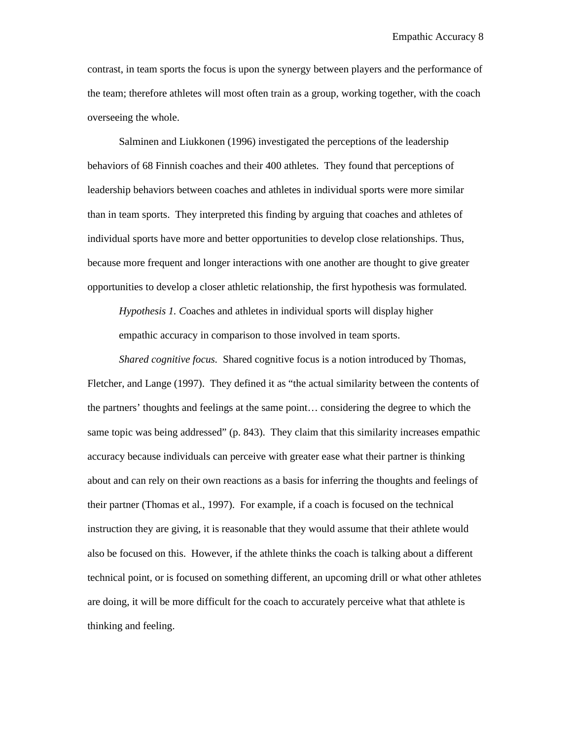contrast, in team sports the focus is upon the synergy between players and the performance of the team; therefore athletes will most often train as a group, working together, with the coach overseeing the whole.

Salminen and Liukkonen (1996) investigated the perceptions of the leadership behaviors of 68 Finnish coaches and their 400 athletes. They found that perceptions of leadership behaviors between coaches and athletes in individual sports were more similar than in team sports. They interpreted this finding by arguing that coaches and athletes of individual sports have more and better opportunities to develop close relationships. Thus, because more frequent and longer interactions with one another are thought to give greater opportunities to develop a closer athletic relationship, the first hypothesis was formulated.

*Hypothesis 1. C*oaches and athletes in individual sports will display higher empathic accuracy in comparison to those involved in team sports.

*Shared cognitive focus.* Shared cognitive focus is a notion introduced by Thomas, Fletcher, and Lange (1997). They defined it as "the actual similarity between the contents of the partners' thoughts and feelings at the same point… considering the degree to which the same topic was being addressed" (p. 843). They claim that this similarity increases empathic accuracy because individuals can perceive with greater ease what their partner is thinking about and can rely on their own reactions as a basis for inferring the thoughts and feelings of their partner (Thomas et al., 1997). For example, if a coach is focused on the technical instruction they are giving, it is reasonable that they would assume that their athlete would also be focused on this. However, if the athlete thinks the coach is talking about a different technical point, or is focused on something different, an upcoming drill or what other athletes are doing, it will be more difficult for the coach to accurately perceive what that athlete is thinking and feeling.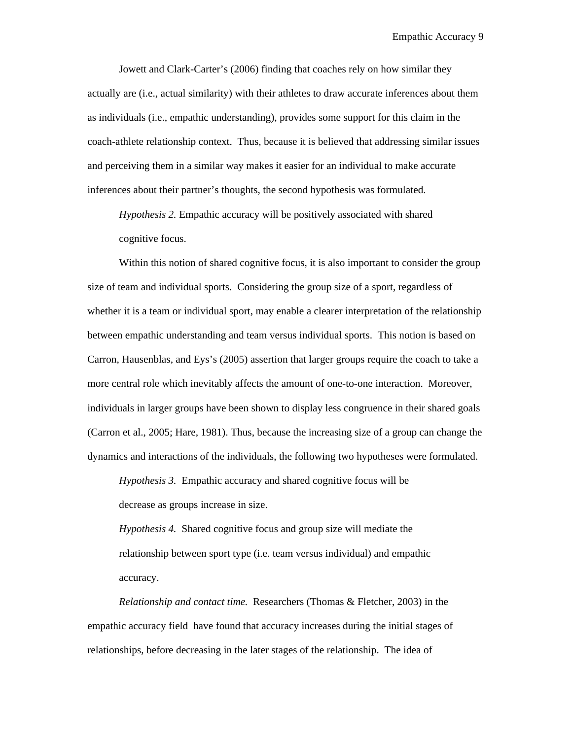Jowett and Clark-Carter's (2006) finding that coaches rely on how similar they actually are (i.e., actual similarity) with their athletes to draw accurate inferences about them as individuals (i.e., empathic understanding), provides some support for this claim in the coach-athlete relationship context. Thus, because it is believed that addressing similar issues and perceiving them in a similar way makes it easier for an individual to make accurate inferences about their partner's thoughts, the second hypothesis was formulated.

*Hypothesis 2.* Empathic accuracy will be positively associated with shared cognitive focus.

Within this notion of shared cognitive focus, it is also important to consider the group size of team and individual sports. Considering the group size of a sport, regardless of whether it is a team or individual sport, may enable a clearer interpretation of the relationship between empathic understanding and team versus individual sports. This notion is based on Carron, Hausenblas, and Eys's (2005) assertion that larger groups require the coach to take a more central role which inevitably affects the amount of one-to-one interaction. Moreover, individuals in larger groups have been shown to display less congruence in their shared goals (Carron et al., 2005; Hare, 1981). Thus, because the increasing size of a group can change the dynamics and interactions of the individuals, the following two hypotheses were formulated.

*Hypothesis 3.* Empathic accuracy and shared cognitive focus will be decrease as groups increase in size.

*Hypothesis 4.* Shared cognitive focus and group size will mediate the relationship between sport type (i.e. team versus individual) and empathic accuracy.

*Relationship and contact time.* Researchers (Thomas & Fletcher, 2003) in the empathic accuracy field have found that accuracy increases during the initial stages of relationships, before decreasing in the later stages of the relationship. The idea of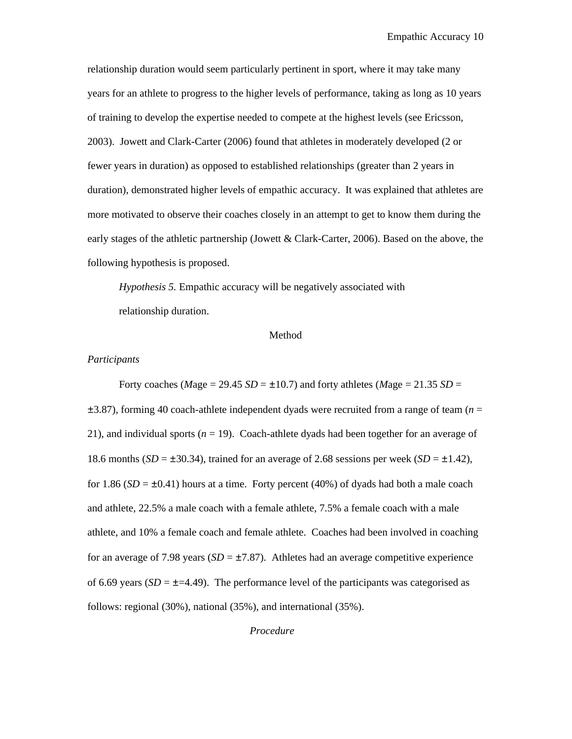relationship duration would seem particularly pertinent in sport, where it may take many years for an athlete to progress to the higher levels of performance, taking as long as 10 years of training to develop the expertise needed to compete at the highest levels (see Ericsson, 2003). Jowett and Clark-Carter (2006) found that athletes in moderately developed (2 or fewer years in duration) as opposed to established relationships (greater than 2 years in duration), demonstrated higher levels of empathic accuracy. It was explained that athletes are more motivated to observe their coaches closely in an attempt to get to know them during the early stages of the athletic partnership (Jowett & Clark-Carter, 2006). Based on the above, the following hypothesis is proposed.

*Hypothesis 5.* Empathic accuracy will be negatively associated with relationship duration.

#### Method

#### *Participants*

Forty coaches (*Mage* = 29.45 *SD* =  $\pm$ 10.7) and forty athletes (*Mage* = 21.35 *SD* = ±3.87), forming 40 coach-athlete independent dyads were recruited from a range of team (*n* = 21), and individual sports  $(n = 19)$ . Coach-athlete dyads had been together for an average of 18.6 months  $(SD = \pm 30.34)$ , trained for an average of 2.68 sessions per week  $(SD = \pm 1.42)$ , for 1.86  $(SD = \pm 0.41)$  hours at a time. Forty percent (40%) of dyads had both a male coach and athlete, 22.5% a male coach with a female athlete, 7.5% a female coach with a male athlete, and 10% a female coach and female athlete. Coaches had been involved in coaching for an average of 7.98 years  $(SD = \pm 7.87)$ . Athletes had an average competitive experience of 6.69 years  $(SD = \pm 4.49)$ . The performance level of the participants was categorised as follows: regional (30%), national (35%), and international (35%).

*Procedure*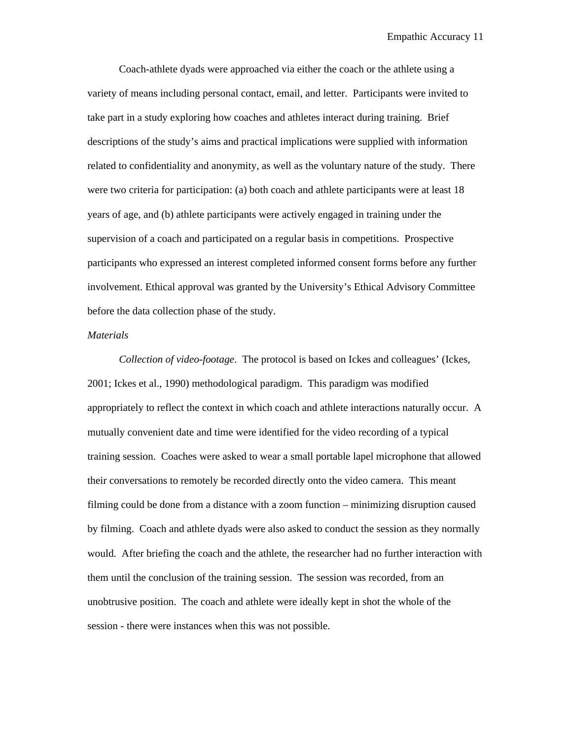Coach-athlete dyads were approached via either the coach or the athlete using a variety of means including personal contact, email, and letter.Participants were invited to take part in a study exploring how coaches and athletes interact during training. Brief descriptions of the study's aims and practical implications were supplied with information related to confidentiality and anonymity, as well as the voluntary nature of the study. There were two criteria for participation: (a) both coach and athlete participants were at least 18 years of age, and (b) athlete participants were actively engaged in training under the supervision of a coach and participated on a regular basis in competitions. Prospective participants who expressed an interest completed informed consent forms before any further involvement. Ethical approval was granted by the University's Ethical Advisory Committee before the data collection phase of the study.

#### *Materials*

*Collection of video-footage*. The protocol is based on Ickes and colleagues' (Ickes, 2001; Ickes et al., 1990) methodological paradigm. This paradigm was modified appropriately to reflect the context in which coach and athlete interactions naturally occur. A mutually convenient date and time were identified for the video recording of a typical training session. Coaches were asked to wear a small portable lapel microphone that allowed their conversations to remotely be recorded directly onto the video camera. This meant filming could be done from a distance with a zoom function – minimizing disruption caused by filming. Coach and athlete dyads were also asked to conduct the session as they normally would. After briefing the coach and the athlete, the researcher had no further interaction with them until the conclusion of the training session. The session was recorded, from an unobtrusive position. The coach and athlete were ideally kept in shot the whole of the session - there were instances when this was not possible.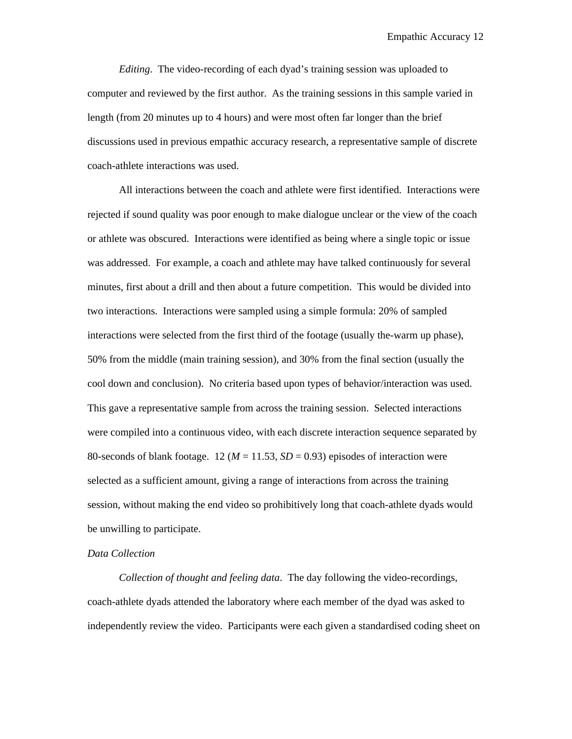*Editing*. The video-recording of each dyad's training session was uploaded to computer and reviewed by the first author. As the training sessions in this sample varied in length (from 20 minutes up to 4 hours) and were most often far longer than the brief discussions used in previous empathic accuracy research, a representative sample of discrete coach-athlete interactions was used.

All interactions between the coach and athlete were first identified. Interactions were rejected if sound quality was poor enough to make dialogue unclear or the view of the coach or athlete was obscured. Interactions were identified as being where a single topic or issue was addressed. For example, a coach and athlete may have talked continuously for several minutes, first about a drill and then about a future competition. This would be divided into two interactions. Interactions were sampled using a simple formula: 20% of sampled interactions were selected from the first third of the footage (usually the-warm up phase), 50% from the middle (main training session), and 30% from the final section (usually the cool down and conclusion). No criteria based upon types of behavior/interaction was used. This gave a representative sample from across the training session. Selected interactions were compiled into a continuous video, with each discrete interaction sequence separated by 80-seconds of blank footage. 12 ( $M = 11.53$ ,  $SD = 0.93$ ) episodes of interaction were selected as a sufficient amount, giving a range of interactions from across the training session, without making the end video so prohibitively long that coach-athlete dyads would be unwilling to participate.

#### *Data Collection*

*Collection of thought and feeling data*. The day following the video-recordings, coach-athlete dyads attended the laboratory where each member of the dyad was asked to independently review the video. Participants were each given a standardised coding sheet on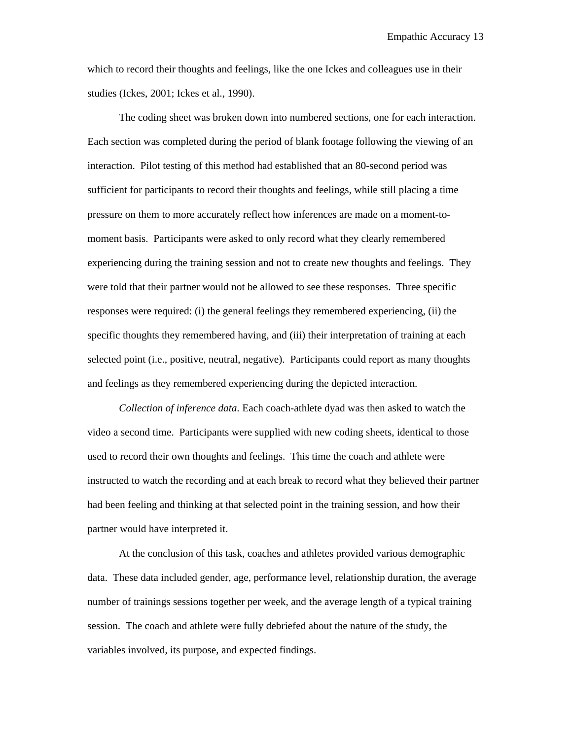which to record their thoughts and feelings, like the one Ickes and colleagues use in their studies (Ickes, 2001; Ickes et al., 1990).

The coding sheet was broken down into numbered sections, one for each interaction. Each section was completed during the period of blank footage following the viewing of an interaction. Pilot testing of this method had established that an 80-second period was sufficient for participants to record their thoughts and feelings, while still placing a time pressure on them to more accurately reflect how inferences are made on a moment-tomoment basis. Participants were asked to only record what they clearly remembered experiencing during the training session and not to create new thoughts and feelings. They were told that their partner would not be allowed to see these responses. Three specific responses were required: (i) the general feelings they remembered experiencing, (ii) the specific thoughts they remembered having, and (iii) their interpretation of training at each selected point (i.e., positive, neutral, negative). Participants could report as many thoughts and feelings as they remembered experiencing during the depicted interaction.

*Collection of inference data*. Each coach-athlete dyad was then asked to watch the video a second time. Participants were supplied with new coding sheets, identical to those used to record their own thoughts and feelings. This time the coach and athlete were instructed to watch the recording and at each break to record what they believed their partner had been feeling and thinking at that selected point in the training session, and how their partner would have interpreted it.

At the conclusion of this task, coaches and athletes provided various demographic data. These data included gender, age, performance level, relationship duration, the average number of trainings sessions together per week, and the average length of a typical training session. The coach and athlete were fully debriefed about the nature of the study, the variables involved, its purpose, and expected findings.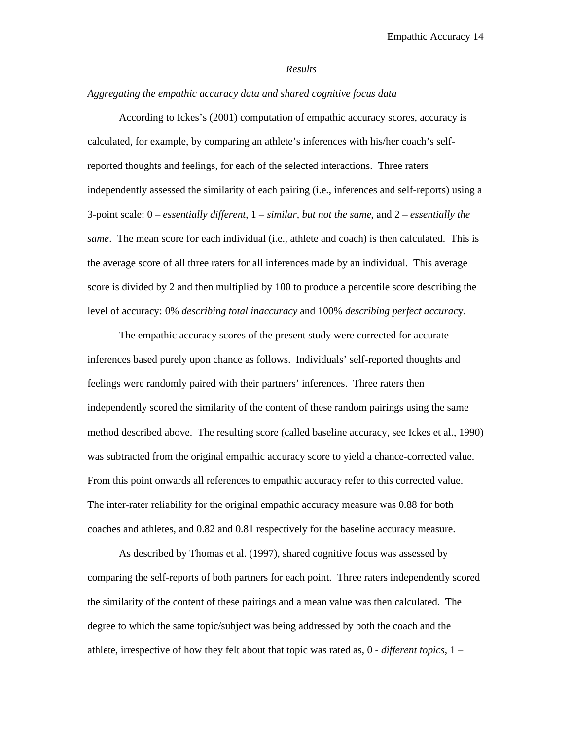#### *Results*

#### *Aggregating the empathic accuracy data and shared cognitive focus data*

According to Ickes's (2001) computation of empathic accuracy scores, accuracy is calculated, for example, by comparing an athlete's inferences with his/her coach's selfreported thoughts and feelings, for each of the selected interactions. Three raters independently assessed the similarity of each pairing (i.e., inferences and self-reports) using a 3-point scale: 0 – *essentially different*, 1 – *similar, but not the same*, and 2 – *essentially the same*. The mean score for each individual (i.e., athlete and coach) is then calculated. This is the average score of all three raters for all inferences made by an individual. This average score is divided by 2 and then multiplied by 100 to produce a percentile score describing the level of accuracy: 0% *describing total inaccuracy* and 100% *describing perfect accurac*y.

The empathic accuracy scores of the present study were corrected for accurate inferences based purely upon chance as follows. Individuals' self-reported thoughts and feelings were randomly paired with their partners' inferences. Three raters then independently scored the similarity of the content of these random pairings using the same method described above. The resulting score (called baseline accuracy, see Ickes et al., 1990) was subtracted from the original empathic accuracy score to yield a chance-corrected value. From this point onwards all references to empathic accuracy refer to this corrected value. The inter-rater reliability for the original empathic accuracy measure was 0.88 for both coaches and athletes, and 0.82 and 0.81 respectively for the baseline accuracy measure.

As described by Thomas et al. (1997), shared cognitive focus was assessed by comparing the self-reports of both partners for each point. Three raters independently scored the similarity of the content of these pairings and a mean value was then calculated. The degree to which the same topic/subject was being addressed by both the coach and the athlete, irrespective of how they felt about that topic was rated as, 0 - *different topics*, 1 –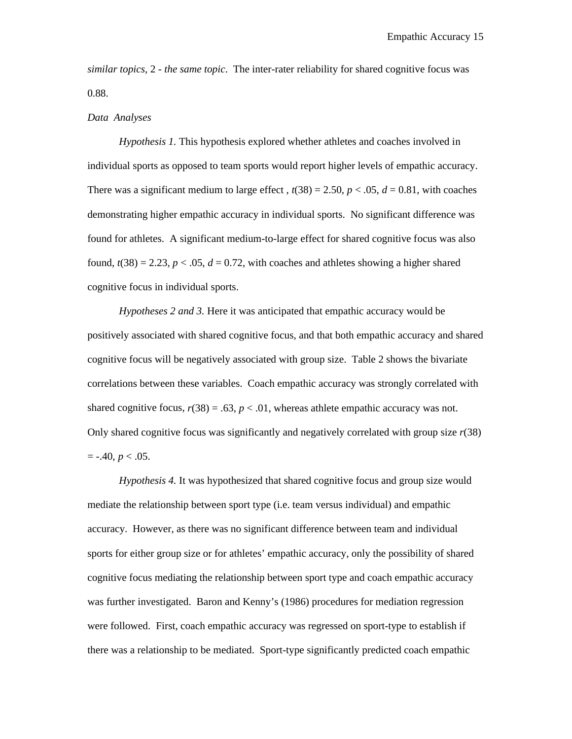*similar topics*, 2 - *the same topic*. The inter-rater reliability for shared cognitive focus was 0.88.

#### *Data Analyses*

*Hypothesis 1.* This hypothesis explored whether athletes and coaches involved in individual sports as opposed to team sports would report higher levels of empathic accuracy. There was a significant medium to large effect,  $t(38) = 2.50$ ,  $p < .05$ ,  $d = 0.81$ , with coaches demonstrating higher empathic accuracy in individual sports. No significant difference was found for athletes. A significant medium-to-large effect for shared cognitive focus was also found,  $t(38) = 2.23$ ,  $p < .05$ ,  $d = 0.72$ , with coaches and athletes showing a higher shared cognitive focus in individual sports.

*Hypotheses 2 and 3.* Here it was anticipated that empathic accuracy would be positively associated with shared cognitive focus, and that both empathic accuracy and shared cognitive focus will be negatively associated with group size. Table 2 shows the bivariate correlations between these variables. Coach empathic accuracy was strongly correlated with shared cognitive focus,  $r(38) = .63$ ,  $p < .01$ , whereas athlete empathic accuracy was not. Only shared cognitive focus was significantly and negatively correlated with group size *r*(38)  $= -.40, p < .05.$ 

*Hypothesis 4.* It was hypothesized that shared cognitive focus and group size would mediate the relationship between sport type (i.e. team versus individual) and empathic accuracy. However, as there was no significant difference between team and individual sports for either group size or for athletes' empathic accuracy, only the possibility of shared cognitive focus mediating the relationship between sport type and coach empathic accuracy was further investigated. Baron and Kenny's (1986) procedures for mediation regression were followed. First, coach empathic accuracy was regressed on sport-type to establish if there was a relationship to be mediated. Sport-type significantly predicted coach empathic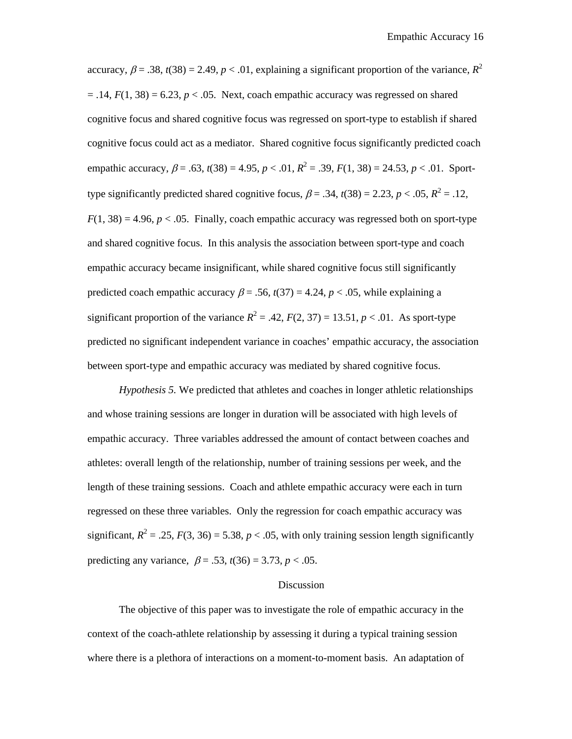accuracy,  $\beta = .38$ ,  $t(38) = 2.49$ ,  $p < .01$ , explaining a significant proportion of the variance,  $R^2$  $= .14, F(1, 38) = 6.23, p < .05$ . Next, coach empathic accuracy was regressed on shared cognitive focus and shared cognitive focus was regressed on sport-type to establish if shared cognitive focus could act as a mediator. Shared cognitive focus significantly predicted coach empathic accuracy,  $\beta = .63$ ,  $t(38) = 4.95$ ,  $p < .01$ ,  $R^2 = .39$ ,  $F(1, 38) = 24.53$ ,  $p < .01$ . Sporttype significantly predicted shared cognitive focus,  $\beta = .34$ ,  $t(38) = 2.23$ ,  $p < .05$ ,  $R^2 = .12$ ,  $F(1, 38) = 4.96$ ,  $p < .05$ . Finally, coach empathic accuracy was regressed both on sport-type and shared cognitive focus. In this analysis the association between sport-type and coach empathic accuracy became insignificant, while shared cognitive focus still significantly predicted coach empathic accuracy  $\beta$  = .56,  $t(37)$  = 4.24,  $p < .05$ , while explaining a significant proportion of the variance  $R^2 = .42$ ,  $F(2, 37) = 13.51$ ,  $p < .01$ . As sport-type predicted no significant independent variance in coaches' empathic accuracy, the association between sport-type and empathic accuracy was mediated by shared cognitive focus.

*Hypothesis 5.* We predicted that athletes and coaches in longer athletic relationships and whose training sessions are longer in duration will be associated with high levels of empathic accuracy. Three variables addressed the amount of contact between coaches and athletes: overall length of the relationship, number of training sessions per week, and the length of these training sessions. Coach and athlete empathic accuracy were each in turn regressed on these three variables. Only the regression for coach empathic accuracy was significant,  $R^2 = .25$ ,  $F(3, 36) = 5.38$ ,  $p < .05$ , with only training session length significantly predicting any variance,  $\beta = .53$ ,  $t(36) = 3.73$ ,  $p < .05$ .

#### Discussion

The objective of this paper was to investigate the role of empathic accuracy in the context of the coach-athlete relationship by assessing it during a typical training session where there is a plethora of interactions on a moment-to-moment basis. An adaptation of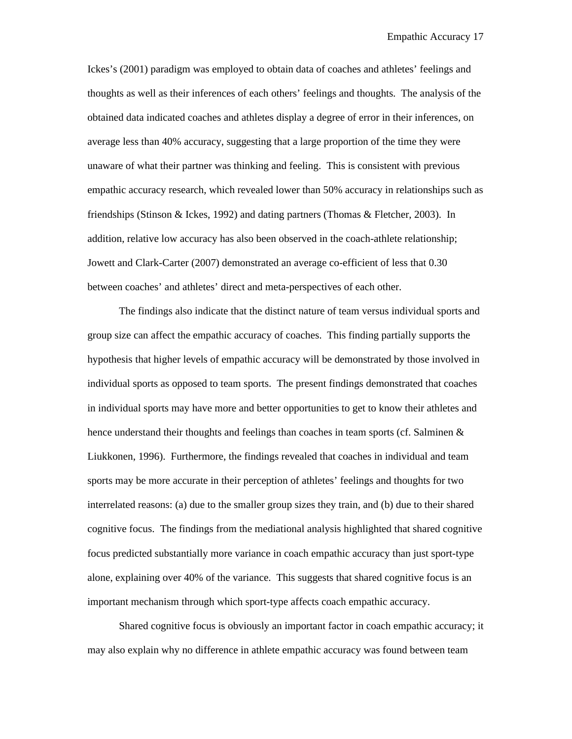Ickes's (2001) paradigm was employed to obtain data of coaches and athletes' feelings and thoughts as well as their inferences of each others' feelings and thoughts. The analysis of the obtained data indicated coaches and athletes display a degree of error in their inferences, on average less than 40% accuracy, suggesting that a large proportion of the time they were unaware of what their partner was thinking and feeling. This is consistent with previous empathic accuracy research, which revealed lower than 50% accuracy in relationships such as friendships (Stinson & Ickes, 1992) and dating partners (Thomas & Fletcher, 2003). In addition, relative low accuracy has also been observed in the coach-athlete relationship; Jowett and Clark-Carter (2007) demonstrated an average co-efficient of less that 0.30 between coaches' and athletes' direct and meta-perspectives of each other.

The findings also indicate that the distinct nature of team versus individual sports and group size can affect the empathic accuracy of coaches. This finding partially supports the hypothesis that higher levels of empathic accuracy will be demonstrated by those involved in individual sports as opposed to team sports. The present findings demonstrated that coaches in individual sports may have more and better opportunities to get to know their athletes and hence understand their thoughts and feelings than coaches in team sports (cf. Salminen & Liukkonen, 1996). Furthermore, the findings revealed that coaches in individual and team sports may be more accurate in their perception of athletes' feelings and thoughts for two interrelated reasons: (a) due to the smaller group sizes they train, and (b) due to their shared cognitive focus. The findings from the mediational analysis highlighted that shared cognitive focus predicted substantially more variance in coach empathic accuracy than just sport-type alone, explaining over 40% of the variance. This suggests that shared cognitive focus is an important mechanism through which sport-type affects coach empathic accuracy.

Shared cognitive focus is obviously an important factor in coach empathic accuracy; it may also explain why no difference in athlete empathic accuracy was found between team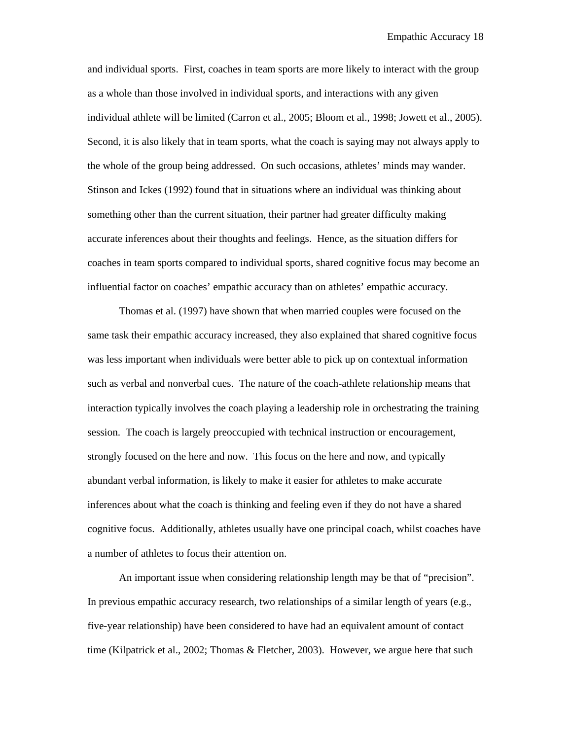and individual sports. First, coaches in team sports are more likely to interact with the group as a whole than those involved in individual sports, and interactions with any given individual athlete will be limited (Carron et al., 2005; Bloom et al., 1998; Jowett et al., 2005). Second, it is also likely that in team sports, what the coach is saying may not always apply to the whole of the group being addressed. On such occasions, athletes' minds may wander. Stinson and Ickes (1992) found that in situations where an individual was thinking about something other than the current situation, their partner had greater difficulty making accurate inferences about their thoughts and feelings. Hence, as the situation differs for coaches in team sports compared to individual sports, shared cognitive focus may become an influential factor on coaches' empathic accuracy than on athletes' empathic accuracy.

Thomas et al. (1997) have shown that when married couples were focused on the same task their empathic accuracy increased, they also explained that shared cognitive focus was less important when individuals were better able to pick up on contextual information such as verbal and nonverbal cues. The nature of the coach-athlete relationship means that interaction typically involves the coach playing a leadership role in orchestrating the training session. The coach is largely preoccupied with technical instruction or encouragement, strongly focused on the here and now. This focus on the here and now, and typically abundant verbal information, is likely to make it easier for athletes to make accurate inferences about what the coach is thinking and feeling even if they do not have a shared cognitive focus. Additionally, athletes usually have one principal coach, whilst coaches have a number of athletes to focus their attention on.

An important issue when considering relationship length may be that of "precision". In previous empathic accuracy research, two relationships of a similar length of years (e.g., five-year relationship) have been considered to have had an equivalent amount of contact time (Kilpatrick et al., 2002; Thomas & Fletcher, 2003). However, we argue here that such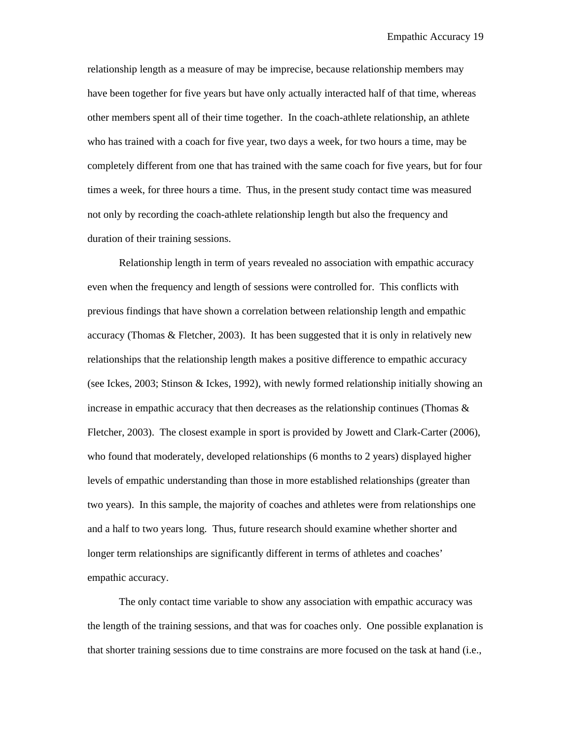relationship length as a measure of may be imprecise, because relationship members may have been together for five years but have only actually interacted half of that time, whereas other members spent all of their time together. In the coach-athlete relationship, an athlete who has trained with a coach for five year, two days a week, for two hours a time, may be completely different from one that has trained with the same coach for five years, but for four times a week, for three hours a time. Thus, in the present study contact time was measured not only by recording the coach-athlete relationship length but also the frequency and duration of their training sessions.

Relationship length in term of years revealed no association with empathic accuracy even when the frequency and length of sessions were controlled for. This conflicts with previous findings that have shown a correlation between relationship length and empathic accuracy (Thomas  $&$  Fletcher, 2003). It has been suggested that it is only in relatively new relationships that the relationship length makes a positive difference to empathic accuracy (see Ickes, 2003; Stinson & Ickes, 1992), with newly formed relationship initially showing an increase in empathic accuracy that then decreases as the relationship continues (Thomas  $\&$ Fletcher, 2003). The closest example in sport is provided by Jowett and Clark-Carter (2006), who found that moderately, developed relationships (6 months to 2 years) displayed higher levels of empathic understanding than those in more established relationships (greater than two years). In this sample, the majority of coaches and athletes were from relationships one and a half to two years long. Thus, future research should examine whether shorter and longer term relationships are significantly different in terms of athletes and coaches' empathic accuracy.

The only contact time variable to show any association with empathic accuracy was the length of the training sessions, and that was for coaches only. One possible explanation is that shorter training sessions due to time constrains are more focused on the task at hand (i.e.,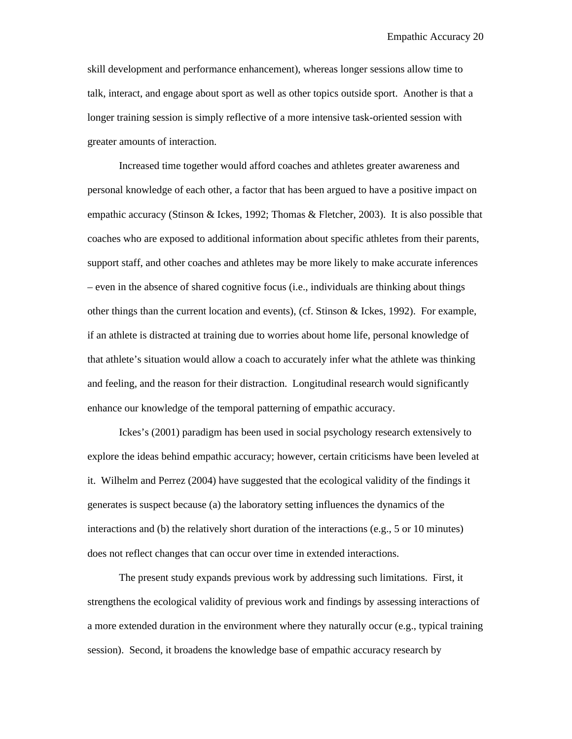skill development and performance enhancement), whereas longer sessions allow time to talk, interact, and engage about sport as well as other topics outside sport. Another is that a longer training session is simply reflective of a more intensive task-oriented session with greater amounts of interaction.

Increased time together would afford coaches and athletes greater awareness and personal knowledge of each other, a factor that has been argued to have a positive impact on empathic accuracy (Stinson & Ickes, 1992; Thomas & Fletcher, 2003). It is also possible that coaches who are exposed to additional information about specific athletes from their parents, support staff, and other coaches and athletes may be more likely to make accurate inferences – even in the absence of shared cognitive focus (i.e., individuals are thinking about things other things than the current location and events), (cf. Stinson & Ickes, 1992). For example, if an athlete is distracted at training due to worries about home life, personal knowledge of that athlete's situation would allow a coach to accurately infer what the athlete was thinking and feeling, and the reason for their distraction. Longitudinal research would significantly enhance our knowledge of the temporal patterning of empathic accuracy.

Ickes's (2001) paradigm has been used in social psychology research extensively to explore the ideas behind empathic accuracy; however, certain criticisms have been leveled at it. Wilhelm and Perrez (2004) have suggested that the ecological validity of the findings it generates is suspect because (a) the laboratory setting influences the dynamics of the interactions and (b) the relatively short duration of the interactions (e.g., 5 or 10 minutes) does not reflect changes that can occur over time in extended interactions.

The present study expands previous work by addressing such limitations. First, it strengthens the ecological validity of previous work and findings by assessing interactions of a more extended duration in the environment where they naturally occur (e.g., typical training session). Second, it broadens the knowledge base of empathic accuracy research by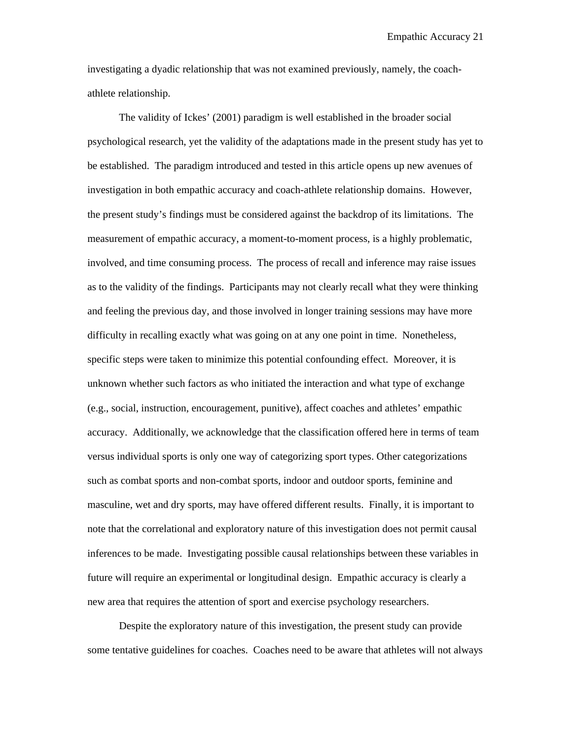investigating a dyadic relationship that was not examined previously, namely, the coachathlete relationship.

The validity of Ickes' (2001) paradigm is well established in the broader social psychological research, yet the validity of the adaptations made in the present study has yet to be established. The paradigm introduced and tested in this article opens up new avenues of investigation in both empathic accuracy and coach-athlete relationship domains. However, the present study's findings must be considered against the backdrop of its limitations. The measurement of empathic accuracy, a moment-to-moment process, is a highly problematic, involved, and time consuming process. The process of recall and inference may raise issues as to the validity of the findings. Participants may not clearly recall what they were thinking and feeling the previous day, and those involved in longer training sessions may have more difficulty in recalling exactly what was going on at any one point in time. Nonetheless, specific steps were taken to minimize this potential confounding effect. Moreover, it is unknown whether such factors as who initiated the interaction and what type of exchange (e.g., social, instruction, encouragement, punitive), affect coaches and athletes' empathic accuracy. Additionally, we acknowledge that the classification offered here in terms of team versus individual sports is only one way of categorizing sport types. Other categorizations such as combat sports and non-combat sports, indoor and outdoor sports, feminine and masculine, wet and dry sports, may have offered different results. Finally, it is important to note that the correlational and exploratory nature of this investigation does not permit causal inferences to be made. Investigating possible causal relationships between these variables in future will require an experimental or longitudinal design. Empathic accuracy is clearly a new area that requires the attention of sport and exercise psychology researchers.

Despite the exploratory nature of this investigation, the present study can provide some tentative guidelines for coaches. Coaches need to be aware that athletes will not always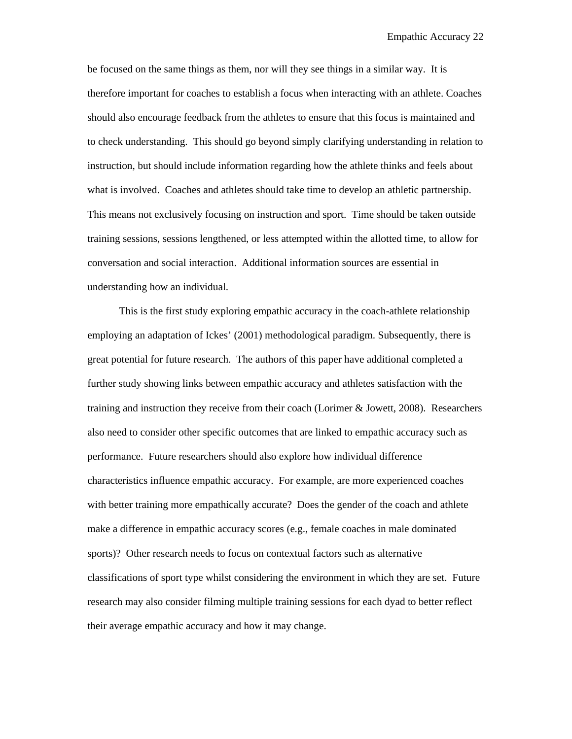be focused on the same things as them, nor will they see things in a similar way. It is therefore important for coaches to establish a focus when interacting with an athlete. Coaches should also encourage feedback from the athletes to ensure that this focus is maintained and to check understanding. This should go beyond simply clarifying understanding in relation to instruction, but should include information regarding how the athlete thinks and feels about what is involved. Coaches and athletes should take time to develop an athletic partnership. This means not exclusively focusing on instruction and sport. Time should be taken outside training sessions, sessions lengthened, or less attempted within the allotted time, to allow for conversation and social interaction. Additional information sources are essential in understanding how an individual.

This is the first study exploring empathic accuracy in the coach-athlete relationship employing an adaptation of Ickes' (2001) methodological paradigm. Subsequently, there is great potential for future research. The authors of this paper have additional completed a further study showing links between empathic accuracy and athletes satisfaction with the training and instruction they receive from their coach (Lorimer & Jowett, 2008). Researchers also need to consider other specific outcomes that are linked to empathic accuracy such as performance. Future researchers should also explore how individual difference characteristics influence empathic accuracy. For example, are more experienced coaches with better training more empathically accurate? Does the gender of the coach and athlete make a difference in empathic accuracy scores (e.g., female coaches in male dominated sports)? Other research needs to focus on contextual factors such as alternative classifications of sport type whilst considering the environment in which they are set. Future research may also consider filming multiple training sessions for each dyad to better reflect their average empathic accuracy and how it may change.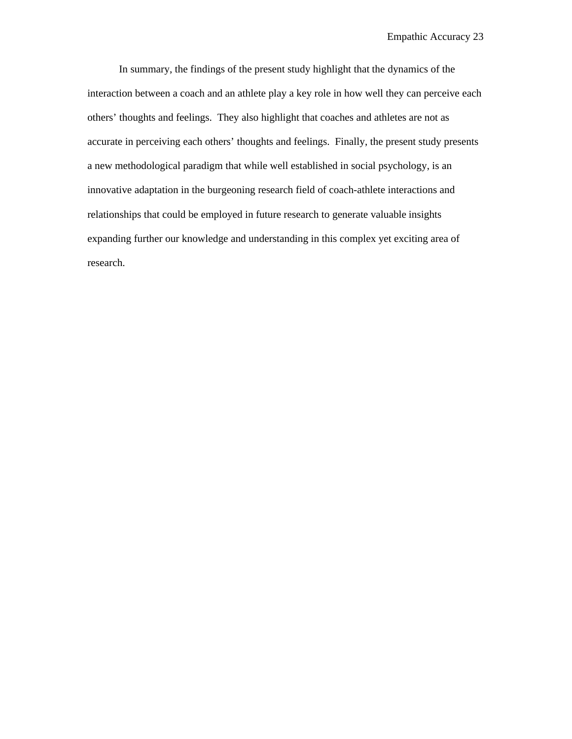In summary, the findings of the present study highlight that the dynamics of the interaction between a coach and an athlete play a key role in how well they can perceive each others' thoughts and feelings. They also highlight that coaches and athletes are not as accurate in perceiving each others' thoughts and feelings. Finally, the present study presents a new methodological paradigm that while well established in social psychology, is an innovative adaptation in the burgeoning research field of coach-athlete interactions and relationships that could be employed in future research to generate valuable insights expanding further our knowledge and understanding in this complex yet exciting area of research.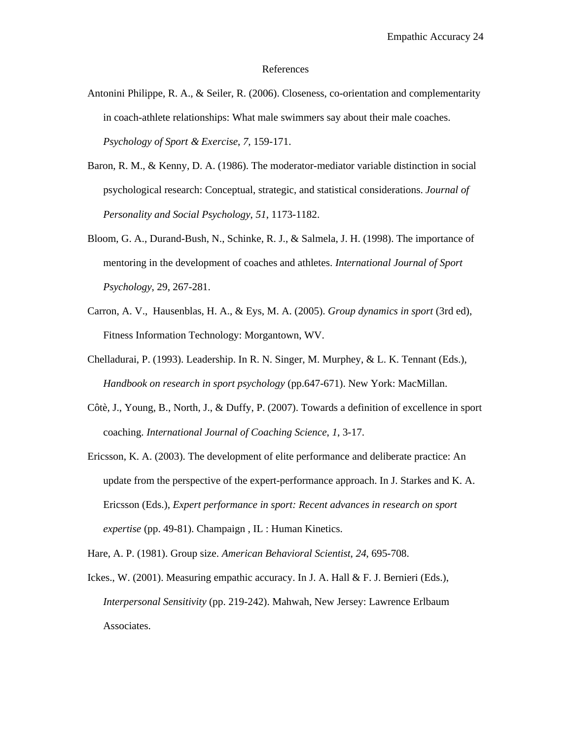#### References

- Antonini Philippe, R. A., & Seiler, R. (2006). Closeness, co-orientation and complementarity in coach-athlete relationships: What male swimmers say about their male coaches. *Psychology of Sport & Exercise*, *7*, 159-171.
- Baron, R. M., & Kenny, D. A. (1986). The moderator-mediator variable distinction in social psychological research: Conceptual, strategic, and statistical considerations. *Journal of Personality and Social Psychology*, *51*, 1173-1182.
- Bloom, G. A., Durand-Bush, N., Schinke, R. J., & Salmela, J. H. (1998). The importance of mentoring in the development of coaches and athletes. *International Journal of Sport Psychology*, 29, 267-281.
- Carron, A. V., Hausenblas, H. A., & Eys, M. A. (2005). *Group dynamics in sport* (3rd ed), Fitness Information Technology: Morgantown, WV.
- Chelladurai, P. (1993). Leadership. In R. N. Singer, M. Murphey, & L. K. Tennant (Eds.), *Handbook on research in sport psychology* (pp.647-671). New York: MacMillan.
- Côtè, J., Young, B., North, J., & Duffy, P. (2007). Towards a definition of excellence in sport coaching. *International Journal of Coaching Science*, *1*, 3-17.
- Ericsson, K. A. (2003). The development of elite performance and deliberate practice: An update from the perspective of the expert-performance approach. In J. Starkes and K. A. Ericsson (Eds.), *Expert performance in sport: Recent advances in research on sport expertise* (pp. 49-81). Champaign , IL : Human Kinetics.

Hare, A. P. (1981). Group size. *American Behavioral Scientist*, *24*, 695-708.

Ickes., W. (2001). Measuring empathic accuracy. In J. A. Hall & F. J. Bernieri (Eds.), *Interpersonal Sensitivity* (pp. 219-242). Mahwah, New Jersey: Lawrence Erlbaum Associates.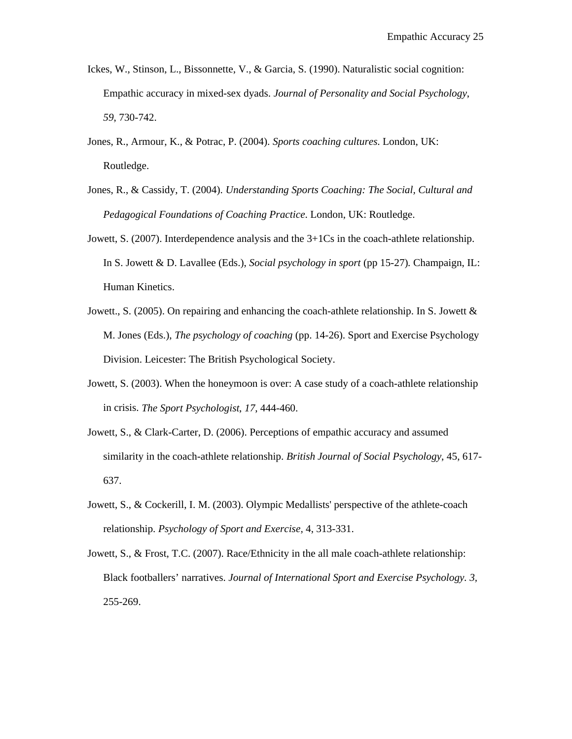- Ickes, W., Stinson, L., Bissonnette, V., & Garcia, S. (1990). Naturalistic social cognition: Empathic accuracy in mixed-sex dyads. *Journal of Personality and Social Psychology*, *59*, 730-742.
- Jones, R., Armour, K., & Potrac, P. (2004). *Sports coaching cultures*. London, UK: Routledge.
- Jones, R., & Cassidy, T. (2004). *Understanding Sports Coaching: The Social, Cultural and Pedagogical Foundations of Coaching Practice*. London, UK: Routledge.
- Jowett, S. (2007). Interdependence analysis and the 3+1Cs in the coach-athlete relationship. In S. Jowett & D. Lavallee (Eds.), *Social psychology in sport* (pp 15-27)*.* Champaign, IL: Human Kinetics.
- Jowett., S. (2005). On repairing and enhancing the coach-athlete relationship. In S. Jowett & M. Jones (Eds.), *The psychology of coaching* (pp. 14-26). Sport and Exercise Psychology Division. Leicester: The British Psychological Society.
- Jowett, S. (2003). When the honeymoon is over: A case study of a coach-athlete relationship in crisis. *The Sport Psychologist*, *17*, 444-460.
- Jowett, S., & Clark-Carter, D. (2006). Perceptions of empathic accuracy and assumed similarity in the coach-athlete relationship. *British Journal of Social Psychology*, 45, 617- 637.
- Jowett, S., & Cockerill, I. M. (2003). Olympic Medallists' perspective of the athlete-coach relationship. *Psychology of Sport and Exercise,* 4, 313-331.
- Jowett, S., & Frost, T.C. (2007). Race/Ethnicity in the all male coach-athlete relationship: Black footballers' narratives. *Journal of International Sport and Exercise Psychology. 3,* 255-269.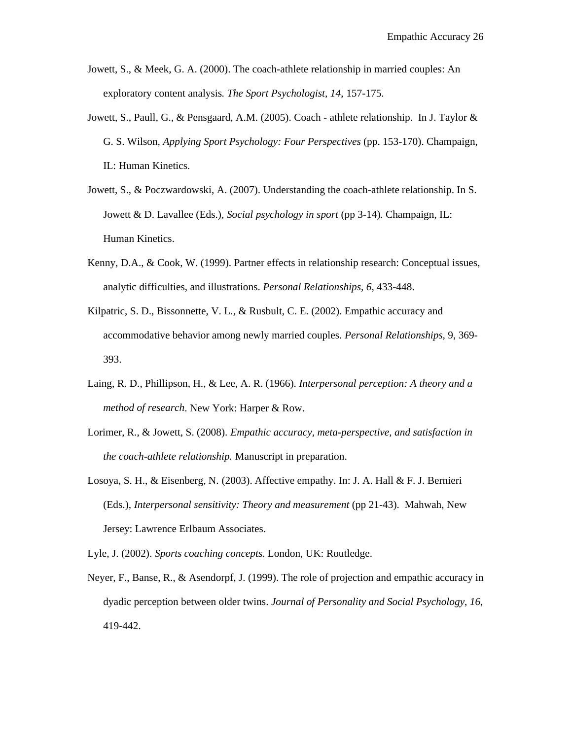- Jowett, S., & Meek, G. A. (2000). The coach-athlete relationship in married couples: An exploratory content analysis*. The Sport Psychologist, 14*, 157-175.
- Jowett, S., Paull, G., & Pensgaard, A.M. (2005). Coach athlete relationship. In J. Taylor & G. S. Wilson, *Applying Sport Psychology: Four Perspectives* (pp. 153-170). Champaign, IL: Human Kinetics.
- Jowett, S., & Poczwardowski, A. (2007). Understanding the coach-athlete relationship. In S. Jowett & D. Lavallee (Eds.), *Social psychology in sport* (pp 3-14)*.* Champaign, IL: Human Kinetics.
- Kenny, D.A., & Cook, W. (1999). Partner effects in relationship research: Conceptual issues, analytic difficulties, and illustrations. *Personal Relationships, 6,* 433-448.
- Kilpatric, S. D., Bissonnette, V. L., & Rusbult, C. E. (2002). Empathic accuracy and accommodative behavior among newly married couples. *Personal Relationships*, 9, 369- 393.
- Laing, R. D., Phillipson, H., & Lee, A. R. (1966). *Interpersonal perception: A theory and a method of research*. New York: Harper & Row.
- Lorimer, R., & Jowett, S. (2008). *Empathic accuracy, meta-perspective, and satisfaction in the coach-athlete relationship.* Manuscript in preparation.
- Losoya, S. H., & Eisenberg, N. (2003). Affective empathy. In: J. A. Hall & F. J. Bernieri (Eds.), *Interpersonal sensitivity: Theory and measurement* (pp 21-43). Mahwah, New Jersey: Lawrence Erlbaum Associates.
- Lyle, J. (2002). *Sports coaching concepts*. London, UK: Routledge.
- Neyer, F., Banse, R., & Asendorpf, J. (1999). The role of projection and empathic accuracy in dyadic perception between older twins. *Journal of Personality and Social Psychology*, *16*, 419-442.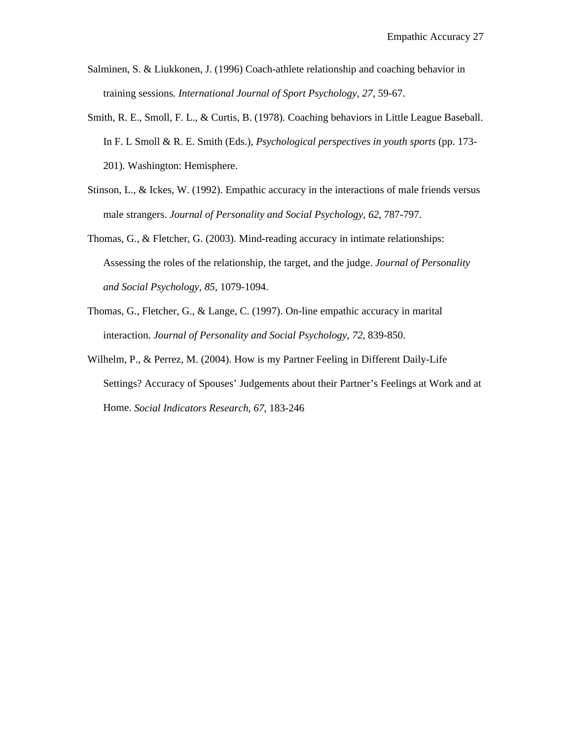- Salminen, S. & Liukkonen, J. (1996) Coach-athlete relationship and coaching behavior in training sessions*. International Journal of Sport Psychology*, *27*, 59-67.
- Smith, R. E., Smoll, F. L., & Curtis, B. (1978). Coaching behaviors in Little League Baseball. In F. L Smoll & R. E. Smith (Eds.), *Psychological perspectives in youth sports* (pp. 173- 201). Washington: Hemisphere.
- Stinson, L., & Ickes, W. (1992). Empathic accuracy in the interactions of male friends versus male strangers. *Journal of Personality and Social Psychology*, *62*, 787-797.
- Thomas, G., & Fletcher, G. (2003). Mind-reading accuracy in intimate relationships: Assessing the roles of the relationship, the target, and the judge. *Journal of Personality and Social Psychology*, *85*, 1079-1094.
- Thomas, G., Fletcher, G., & Lange, C. (1997). On-line empathic accuracy in marital interaction. *Journal of Personality and Social Psychology*, *72*, 839-850.
- Wilhelm, P., & Perrez, M. (2004). How is my Partner Feeling in Different Daily-Life Settings? Accuracy of Spouses' Judgements about their Partner's Feelings at Work and at Home. *Social Indicators Research*, *67*, 183-246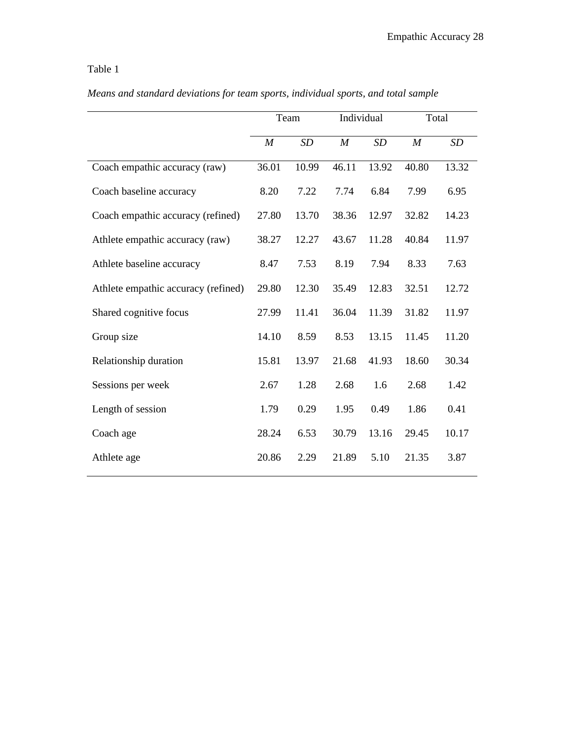# Table 1

|                                     | Team             |       | Individual       |       | Total    |       |
|-------------------------------------|------------------|-------|------------------|-------|----------|-------|
|                                     | $\boldsymbol{M}$ | SD    | $\boldsymbol{M}$ | SD    | $\cal M$ | SD    |
| Coach empathic accuracy (raw)       | 36.01            | 10.99 | 46.11            | 13.92 | 40.80    | 13.32 |
| Coach baseline accuracy             | 8.20             | 7.22  | 7.74             | 6.84  | 7.99     | 6.95  |
| Coach empathic accuracy (refined)   | 27.80            | 13.70 | 38.36            | 12.97 | 32.82    | 14.23 |
| Athlete empathic accuracy (raw)     | 38.27            | 12.27 | 43.67            | 11.28 | 40.84    | 11.97 |
| Athlete baseline accuracy           | 8.47             | 7.53  | 8.19             | 7.94  | 8.33     | 7.63  |
| Athlete empathic accuracy (refined) | 29.80            | 12.30 | 35.49            | 12.83 | 32.51    | 12.72 |
| Shared cognitive focus              | 27.99            | 11.41 | 36.04            | 11.39 | 31.82    | 11.97 |
| Group size                          | 14.10            | 8.59  | 8.53             | 13.15 | 11.45    | 11.20 |
| Relationship duration               | 15.81            | 13.97 | 21.68            | 41.93 | 18.60    | 30.34 |
| Sessions per week                   | 2.67             | 1.28  | 2.68             | 1.6   | 2.68     | 1.42  |
| Length of session                   | 1.79             | 0.29  | 1.95             | 0.49  | 1.86     | 0.41  |
| Coach age                           | 28.24            | 6.53  | 30.79            | 13.16 | 29.45    | 10.17 |
| Athlete age                         | 20.86            | 2.29  | 21.89            | 5.10  | 21.35    | 3.87  |

*Means and standard deviations for team sports, individual sports, and total sample*